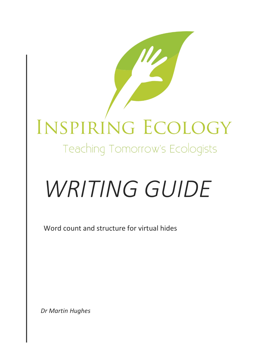# INSPIRING ECOLOGY

Teaching Tomorrow's Ecologists

# *WRITING GUIDE*

Word count and structure for virtual hides

*Dr Martin Hughes*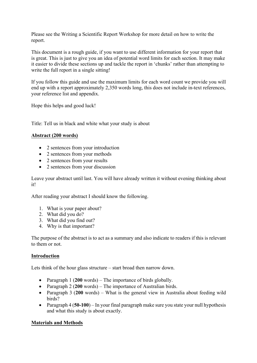Please see the Writing a Scientific Report Workshop for more detail on how to write the report.

This document is a rough guide, if you want to use different information for your report that is great. This is just to give you an idea of potential word limits for each section. It may make it easier to divide these sections up and tackle the report in 'chunks' rather than attempting to write the full report in a single sitting!

If you follow this guide and use the maximum limits for each word count we provide you will end up with a report approximately 2,350 words long, this does not include in-text references, your reference list and appendix.

Hope this helps and good luck!

Title: Tell us in black and white what your study is about

# **Abstract (200 words)**

- 2 sentences from your introduction
- 2 sentences from your methods
- 2 sentences from your results
- 2 sentences from your discussion

Leave your abstract until last. You will have already written it without evening thinking about it!

After reading your abstract I should know the following.

- 1. What is your paper about?
- 2. What did you do?
- 3. What did you find out?
- 4. Why is that important?

The purpose of the abstract is to act as a summary and also indicate to readers if this is relevant to them or not.

### **Introduction**

Lets think of the hour glass structure – start broad then narrow down.

- Paragraph 1 (**200** words) The importance of birds globally.
- Paragraph 2 (**200** words) The importance of Australian birds.
- Paragraph 3 (**200** words) What is the general view in Australia about feeding wild birds?
- Paragraph 4 (**50-100**) In your final paragraph make sure you state your null hypothesis and what this study is about exactly.

### **Materials and Methods**